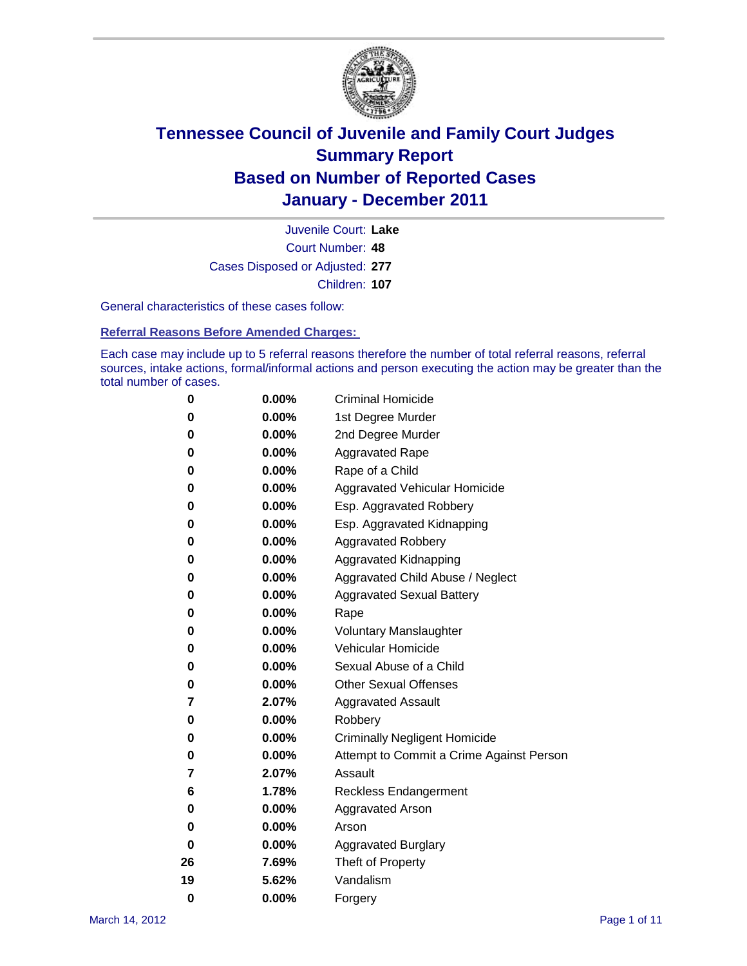

Court Number: **48** Juvenile Court: **Lake** Cases Disposed or Adjusted: **277** Children: **107**

General characteristics of these cases follow:

**Referral Reasons Before Amended Charges:** 

Each case may include up to 5 referral reasons therefore the number of total referral reasons, referral sources, intake actions, formal/informal actions and person executing the action may be greater than the total number of cases.

| 0  | 0.00%    | <b>Criminal Homicide</b>                 |
|----|----------|------------------------------------------|
| 0  | 0.00%    | 1st Degree Murder                        |
| 0  | 0.00%    | 2nd Degree Murder                        |
| 0  | 0.00%    | <b>Aggravated Rape</b>                   |
| 0  | 0.00%    | Rape of a Child                          |
| 0  | 0.00%    | Aggravated Vehicular Homicide            |
| 0  | 0.00%    | Esp. Aggravated Robbery                  |
| 0  | 0.00%    | Esp. Aggravated Kidnapping               |
| 0  | 0.00%    | <b>Aggravated Robbery</b>                |
| 0  | 0.00%    | Aggravated Kidnapping                    |
| 0  | 0.00%    | Aggravated Child Abuse / Neglect         |
| 0  | $0.00\%$ | <b>Aggravated Sexual Battery</b>         |
| 0  | 0.00%    | Rape                                     |
| 0  | $0.00\%$ | <b>Voluntary Manslaughter</b>            |
| 0  | 0.00%    | Vehicular Homicide                       |
| 0  | 0.00%    | Sexual Abuse of a Child                  |
| 0  | 0.00%    | <b>Other Sexual Offenses</b>             |
| 7  | 2.07%    | <b>Aggravated Assault</b>                |
| 0  | $0.00\%$ | Robbery                                  |
| 0  | 0.00%    | <b>Criminally Negligent Homicide</b>     |
| 0  | 0.00%    | Attempt to Commit a Crime Against Person |
| 7  | 2.07%    | Assault                                  |
| 6  | 1.78%    | <b>Reckless Endangerment</b>             |
| 0  | 0.00%    | <b>Aggravated Arson</b>                  |
| 0  | 0.00%    | Arson                                    |
| 0  | 0.00%    | <b>Aggravated Burglary</b>               |
| 26 | 7.69%    | Theft of Property                        |
| 19 | 5.62%    | Vandalism                                |
| 0  | 0.00%    | Forgery                                  |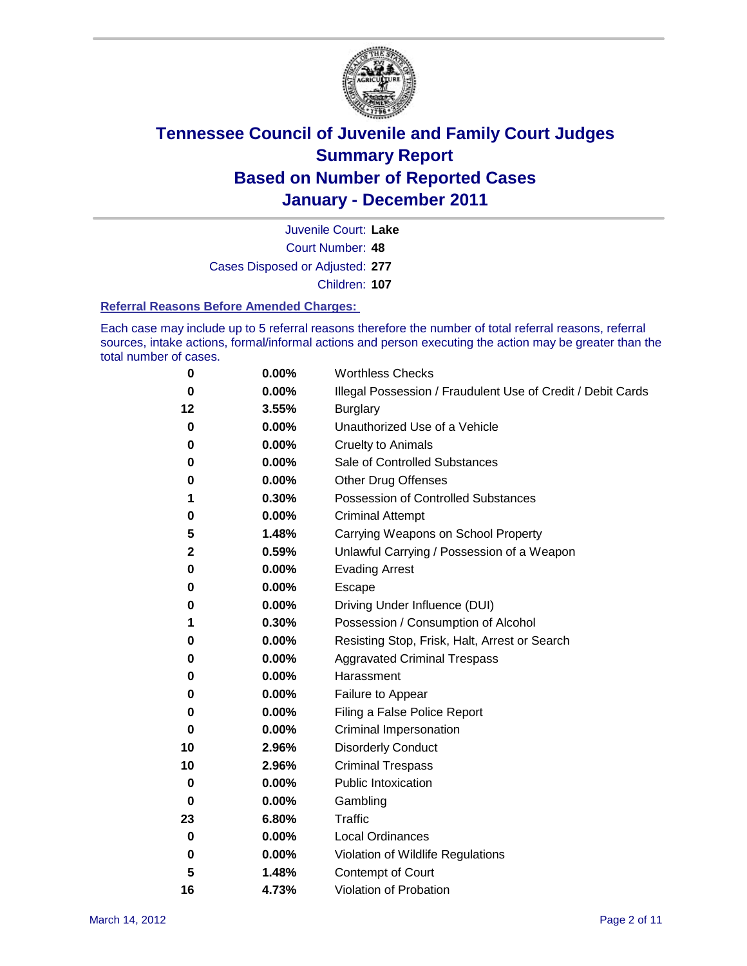

Court Number: **48** Juvenile Court: **Lake** Cases Disposed or Adjusted: **277** Children: **107**

#### **Referral Reasons Before Amended Charges:**

Each case may include up to 5 referral reasons therefore the number of total referral reasons, referral sources, intake actions, formal/informal actions and person executing the action may be greater than the total number of cases.

| 0           | 0.00% | <b>Worthless Checks</b>                                     |
|-------------|-------|-------------------------------------------------------------|
| 0           | 0.00% | Illegal Possession / Fraudulent Use of Credit / Debit Cards |
| 12          | 3.55% | <b>Burglary</b>                                             |
| 0           | 0.00% | Unauthorized Use of a Vehicle                               |
| 0           | 0.00% | <b>Cruelty to Animals</b>                                   |
| 0           | 0.00% | Sale of Controlled Substances                               |
| 0           | 0.00% | <b>Other Drug Offenses</b>                                  |
| 1           | 0.30% | Possession of Controlled Substances                         |
| 0           | 0.00% | <b>Criminal Attempt</b>                                     |
| 5           | 1.48% | Carrying Weapons on School Property                         |
| 2           | 0.59% | Unlawful Carrying / Possession of a Weapon                  |
| 0           | 0.00% | <b>Evading Arrest</b>                                       |
| 0           | 0.00% | Escape                                                      |
| 0           | 0.00% | Driving Under Influence (DUI)                               |
| 1           | 0.30% | Possession / Consumption of Alcohol                         |
| 0           | 0.00% | Resisting Stop, Frisk, Halt, Arrest or Search               |
| 0           | 0.00% | <b>Aggravated Criminal Trespass</b>                         |
| 0           | 0.00% | Harassment                                                  |
| 0           | 0.00% | Failure to Appear                                           |
| 0           | 0.00% | Filing a False Police Report                                |
| $\bf{0}$    | 0.00% | Criminal Impersonation                                      |
| 10          | 2.96% | <b>Disorderly Conduct</b>                                   |
| 10          | 2.96% | <b>Criminal Trespass</b>                                    |
| 0           | 0.00% | <b>Public Intoxication</b>                                  |
| 0           | 0.00% | Gambling                                                    |
| 23          | 6.80% | Traffic                                                     |
| 0           | 0.00% | <b>Local Ordinances</b>                                     |
| $\mathbf 0$ | 0.00% | Violation of Wildlife Regulations                           |
| 5           | 1.48% | Contempt of Court                                           |
| 16          | 4.73% | Violation of Probation                                      |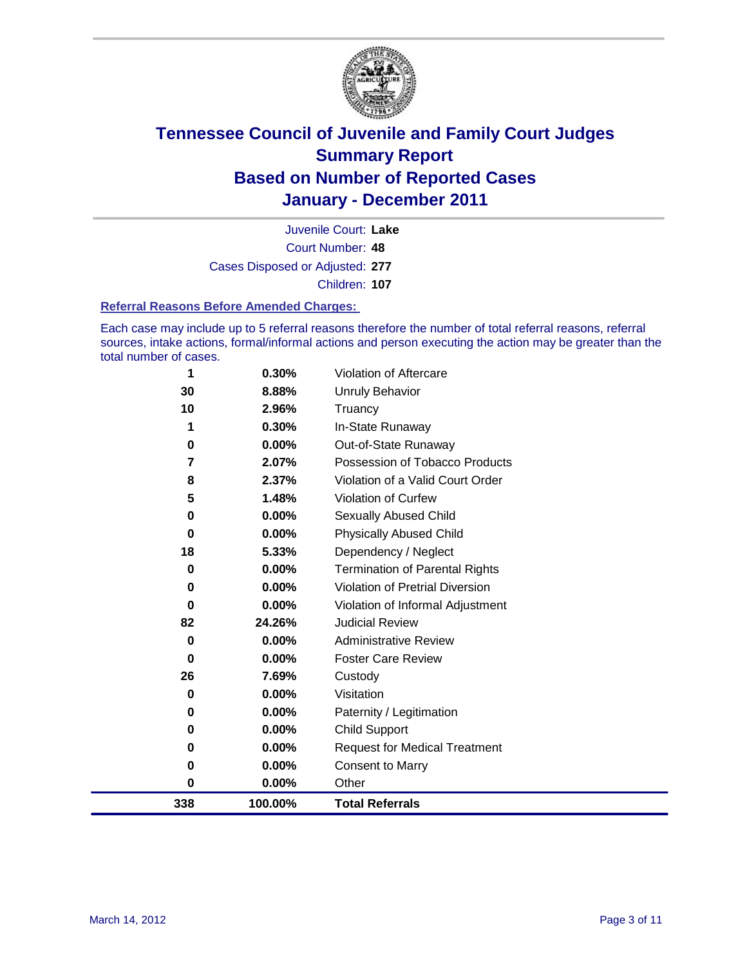

Court Number: **48** Juvenile Court: **Lake** Cases Disposed or Adjusted: **277** Children: **107**

#### **Referral Reasons Before Amended Charges:**

Each case may include up to 5 referral reasons therefore the number of total referral reasons, referral sources, intake actions, formal/informal actions and person executing the action may be greater than the total number of cases.

| 338      | 100.00%  | <b>Total Referrals</b>                 |
|----------|----------|----------------------------------------|
| 0        | 0.00%    | Other                                  |
| 0        | 0.00%    | <b>Consent to Marry</b>                |
| 0        | $0.00\%$ | <b>Request for Medical Treatment</b>   |
| 0        | $0.00\%$ | <b>Child Support</b>                   |
| 0        | $0.00\%$ | Paternity / Legitimation               |
| 0        | $0.00\%$ | Visitation                             |
| 26       | 7.69%    | Custody                                |
| 0        | $0.00\%$ | <b>Foster Care Review</b>              |
| 0        | $0.00\%$ | <b>Administrative Review</b>           |
| 82       | 24.26%   | <b>Judicial Review</b>                 |
| 0        | $0.00\%$ | Violation of Informal Adjustment       |
| 0        | $0.00\%$ | <b>Violation of Pretrial Diversion</b> |
| $\bf{0}$ | $0.00\%$ | <b>Termination of Parental Rights</b>  |
| 18       | 5.33%    | Dependency / Neglect                   |
| $\bf{0}$ | $0.00\%$ | <b>Physically Abused Child</b>         |
| 0        | 0.00%    | Sexually Abused Child                  |
| 5        | 1.48%    | Violation of Curfew                    |
| 8        | 2.37%    | Violation of a Valid Court Order       |
| 7        | 2.07%    | Possession of Tobacco Products         |
| 0        | $0.00\%$ | Out-of-State Runaway                   |
|          | 0.30%    | In-State Runaway                       |
| 10       | 2.96%    | Truancy                                |
| 30       | 8.88%    | Unruly Behavior                        |
| 1        | 0.30%    | Violation of Aftercare                 |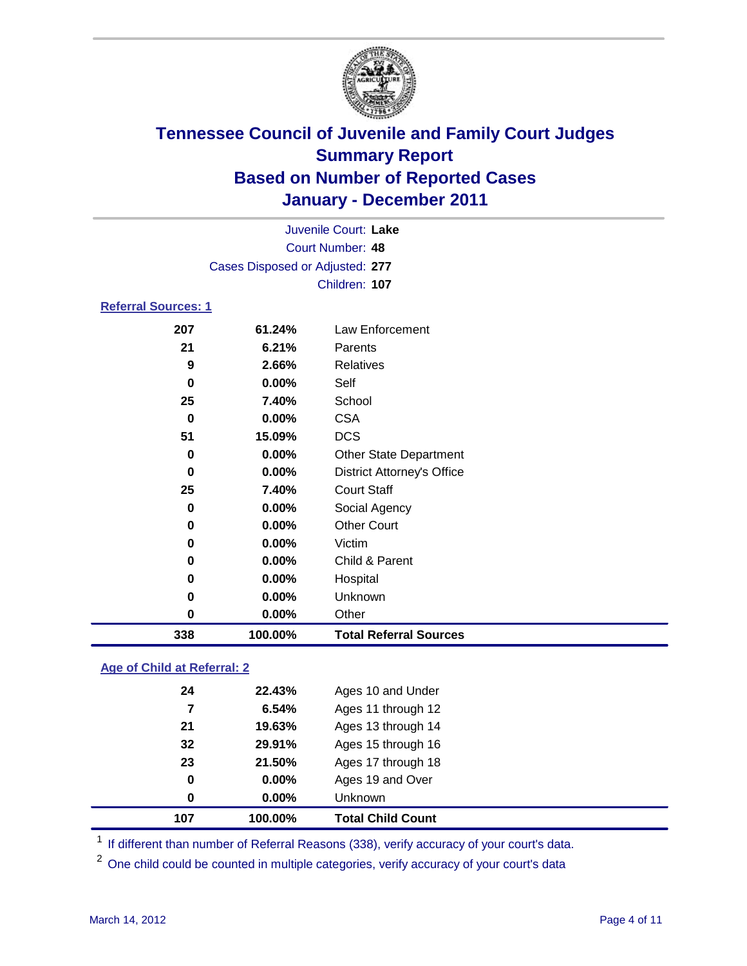

|                                 |          | Juvenile Court: Lake              |  |  |  |
|---------------------------------|----------|-----------------------------------|--|--|--|
| Court Number: 48                |          |                                   |  |  |  |
| Cases Disposed or Adjusted: 277 |          |                                   |  |  |  |
|                                 |          | Children: 107                     |  |  |  |
| <b>Referral Sources: 1</b>      |          |                                   |  |  |  |
| 207                             | 61.24%   | Law Enforcement                   |  |  |  |
| 21                              | 6.21%    | Parents                           |  |  |  |
| 9                               | 2.66%    | <b>Relatives</b>                  |  |  |  |
| 0                               | $0.00\%$ | Self                              |  |  |  |
| 25                              | 7.40%    | School                            |  |  |  |
| $\bf{0}$                        | $0.00\%$ | <b>CSA</b>                        |  |  |  |
| 51                              | 15.09%   | <b>DCS</b>                        |  |  |  |
| 0                               | 0.00%    | <b>Other State Department</b>     |  |  |  |
| $\bf{0}$                        | 0.00%    | <b>District Attorney's Office</b> |  |  |  |
| 25                              | 7.40%    | <b>Court Staff</b>                |  |  |  |
| 0                               | 0.00%    | Social Agency                     |  |  |  |
| 0                               | $0.00\%$ | <b>Other Court</b>                |  |  |  |
| 0                               | $0.00\%$ | Victim                            |  |  |  |
| 0                               | 0.00%    | Child & Parent                    |  |  |  |
| 0                               | 0.00%    | Hospital                          |  |  |  |
| 0                               | 0.00%    | Unknown                           |  |  |  |
| 0                               | 0.00%    | Other                             |  |  |  |

### **Age of Child at Referral: 2**

| 107 | 100.00%    | <b>Total Child Count</b> |
|-----|------------|--------------------------|
|     | 0.00%<br>0 | Unknown                  |
|     | 0<br>0.00% | Ages 19 and Over         |
| 23  | 21.50%     | Ages 17 through 18       |
| 32  | 29.91%     | Ages 15 through 16       |
| 21  | 19.63%     | Ages 13 through 14       |
|     | 6.54%<br>7 | Ages 11 through 12       |
| 24  | 22.43%     | Ages 10 and Under        |
|     |            |                          |

<sup>1</sup> If different than number of Referral Reasons (338), verify accuracy of your court's data.

**100.00% Total Referral Sources**

<sup>2</sup> One child could be counted in multiple categories, verify accuracy of your court's data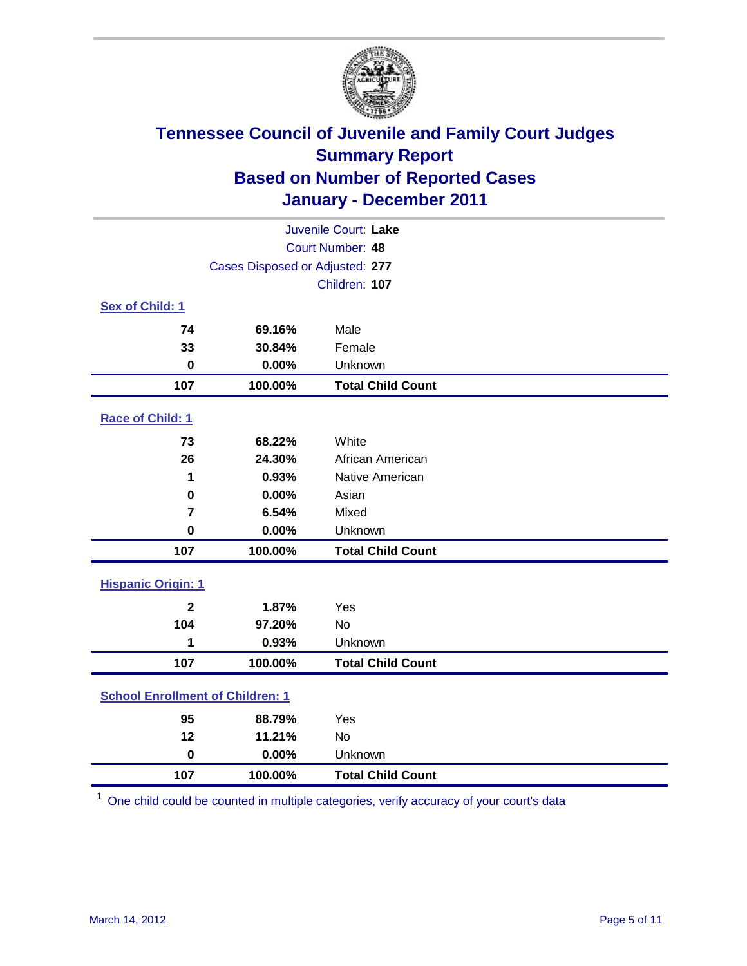

| Juvenile Court: Lake                    |                                 |                          |  |  |
|-----------------------------------------|---------------------------------|--------------------------|--|--|
| Court Number: 48                        |                                 |                          |  |  |
|                                         | Cases Disposed or Adjusted: 277 |                          |  |  |
|                                         |                                 | Children: 107            |  |  |
| Sex of Child: 1                         |                                 |                          |  |  |
| 74                                      | 69.16%                          | Male                     |  |  |
| 33                                      | 30.84%                          | Female                   |  |  |
| $\mathbf 0$                             | 0.00%                           | Unknown                  |  |  |
| 107                                     | 100.00%                         | <b>Total Child Count</b> |  |  |
| Race of Child: 1                        |                                 |                          |  |  |
| 73                                      | 68.22%                          | White                    |  |  |
| 26                                      | 24.30%                          | African American         |  |  |
| 1                                       | 0.93%                           | Native American          |  |  |
| $\mathbf 0$                             | 0.00%                           | Asian                    |  |  |
| $\overline{\mathbf{r}}$                 | 6.54%                           | Mixed                    |  |  |
| $\mathbf 0$                             | 0.00%                           | Unknown                  |  |  |
| 107                                     | 100.00%                         | <b>Total Child Count</b> |  |  |
| <b>Hispanic Origin: 1</b>               |                                 |                          |  |  |
| $\overline{2}$                          | 1.87%                           | Yes                      |  |  |
| 104                                     | 97.20%                          | <b>No</b>                |  |  |
| 1                                       | 0.93%                           | Unknown                  |  |  |
| 107                                     | 100.00%                         | <b>Total Child Count</b> |  |  |
| <b>School Enrollment of Children: 1</b> |                                 |                          |  |  |
| 95                                      | 88.79%                          | Yes                      |  |  |
| 12                                      | 11.21%                          | No                       |  |  |
| $\mathbf 0$                             | 0.00%                           | Unknown                  |  |  |
| 107                                     | 100.00%                         | <b>Total Child Count</b> |  |  |

One child could be counted in multiple categories, verify accuracy of your court's data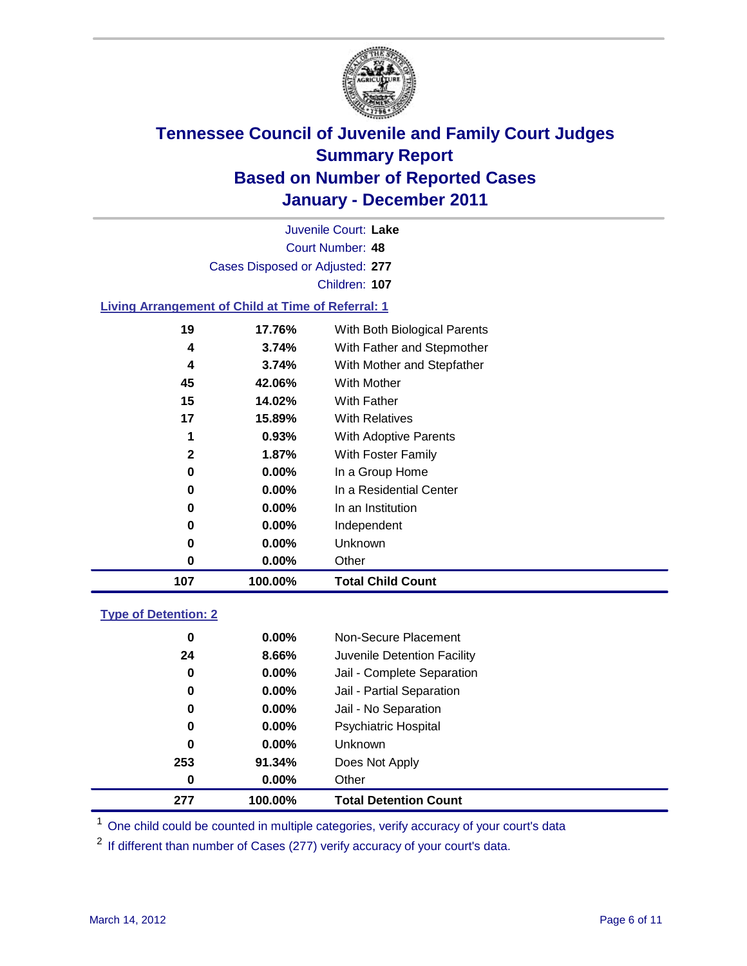

Court Number: **48** Juvenile Court: **Lake** Cases Disposed or Adjusted: **277** Children: **107**

#### **Living Arrangement of Child at Time of Referral: 1**

| 107 | 100.00%  | <b>Total Child Count</b>     |
|-----|----------|------------------------------|
| 0   | 0.00%    | Other                        |
| 0   | $0.00\%$ | Unknown                      |
| 0   | $0.00\%$ | Independent                  |
| 0   | 0.00%    | In an Institution            |
| 0   | $0.00\%$ | In a Residential Center      |
| 0   | 0.00%    | In a Group Home              |
| 2   | 1.87%    | With Foster Family           |
| 1   | 0.93%    | With Adoptive Parents        |
| 17  | 15.89%   | <b>With Relatives</b>        |
| 15  | 14.02%   | <b>With Father</b>           |
| 45  | 42.06%   | With Mother                  |
| 4   | 3.74%    | With Mother and Stepfather   |
| 4   | 3.74%    | With Father and Stepmother   |
| 19  | 17.76%   | With Both Biological Parents |
|     |          |                              |

#### **Type of Detention: 2**

| 277 | 100.00%  | <b>Total Detention Count</b> |  |
|-----|----------|------------------------------|--|
| 0   | 0.00%    | Other                        |  |
| 253 | 91.34%   | Does Not Apply               |  |
| 0   | $0.00\%$ | Unknown                      |  |
| 0   | $0.00\%$ | Psychiatric Hospital         |  |
| 0   | 0.00%    | Jail - No Separation         |  |
| 0   | $0.00\%$ | Jail - Partial Separation    |  |
| 0   | $0.00\%$ | Jail - Complete Separation   |  |
| 24  | 8.66%    | Juvenile Detention Facility  |  |
| 0   | $0.00\%$ | Non-Secure Placement         |  |
|     |          |                              |  |

<sup>1</sup> One child could be counted in multiple categories, verify accuracy of your court's data

<sup>2</sup> If different than number of Cases (277) verify accuracy of your court's data.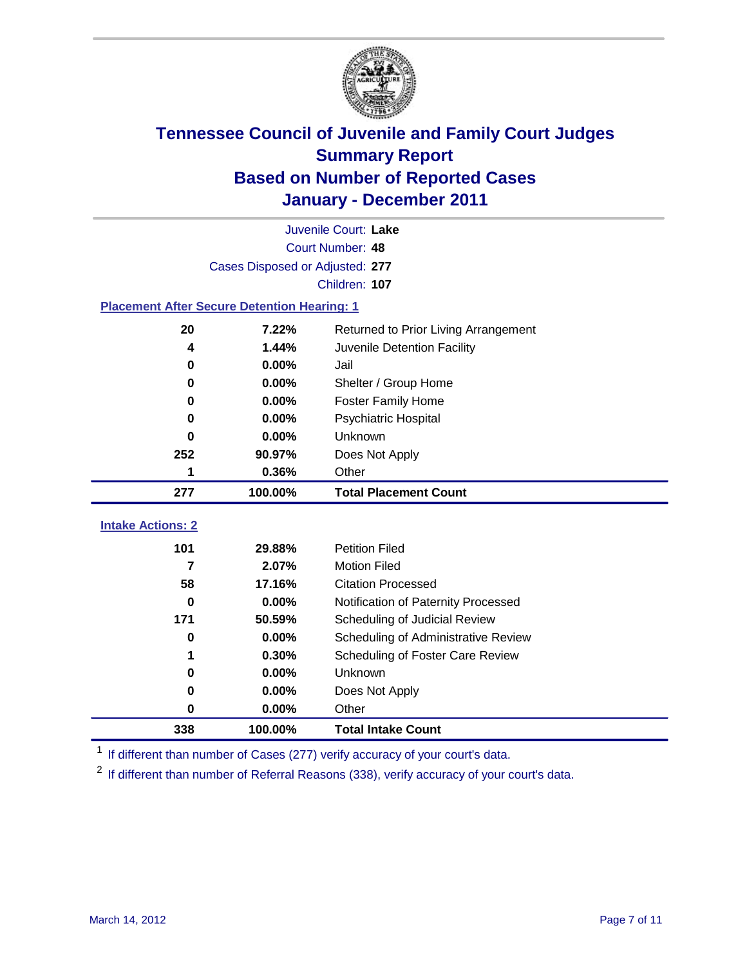

|                                                     | Juvenile Court: Lake            |                                     |  |  |  |
|-----------------------------------------------------|---------------------------------|-------------------------------------|--|--|--|
|                                                     | <b>Court Number: 48</b>         |                                     |  |  |  |
|                                                     | Cases Disposed or Adjusted: 277 |                                     |  |  |  |
|                                                     |                                 | Children: 107                       |  |  |  |
| <b>Placement After Secure Detention Hearing: 1</b>  |                                 |                                     |  |  |  |
| 20<br>7.22%<br>Returned to Prior Living Arrangement |                                 |                                     |  |  |  |
| 4                                                   | 1.44%                           | Juvenile Detention Facility         |  |  |  |
| 0                                                   | 0.00%                           | Jail                                |  |  |  |
| 0                                                   | 0.00%                           | Shelter / Group Home                |  |  |  |
| 0                                                   | 0.00%                           | Foster Family Home                  |  |  |  |
| 0                                                   | 0.00%                           | Psychiatric Hospital                |  |  |  |
| 0                                                   | $0.00\%$                        | Unknown                             |  |  |  |
| 252                                                 | 90.97%                          | Does Not Apply                      |  |  |  |
| 1                                                   | 0.36%                           | Other                               |  |  |  |
| 277                                                 | 100.00%                         | <b>Total Placement Count</b>        |  |  |  |
| <b>Intake Actions: 2</b>                            |                                 |                                     |  |  |  |
|                                                     |                                 |                                     |  |  |  |
| 101                                                 | 29.88%                          | <b>Petition Filed</b>               |  |  |  |
| 7                                                   | 2.07%                           | <b>Motion Filed</b>                 |  |  |  |
| 58                                                  | 17.16%                          | <b>Citation Processed</b>           |  |  |  |
| 0                                                   | 0.00%                           | Notification of Paternity Processed |  |  |  |
| 171                                                 | 50.59%                          | Scheduling of Judicial Review       |  |  |  |
| 0                                                   | 0.00%                           | Scheduling of Administrative Review |  |  |  |
| 1                                                   | 0.30%                           | Scheduling of Foster Care Review    |  |  |  |
| 0                                                   | 0.00%                           | Unknown                             |  |  |  |
| 0                                                   | 0.00%                           | Does Not Apply                      |  |  |  |
| $\pmb{0}$                                           | 0.00%                           | Other                               |  |  |  |
| 338                                                 | 100.00%                         | <b>Total Intake Count</b>           |  |  |  |

<sup>1</sup> If different than number of Cases (277) verify accuracy of your court's data.

<sup>2</sup> If different than number of Referral Reasons (338), verify accuracy of your court's data.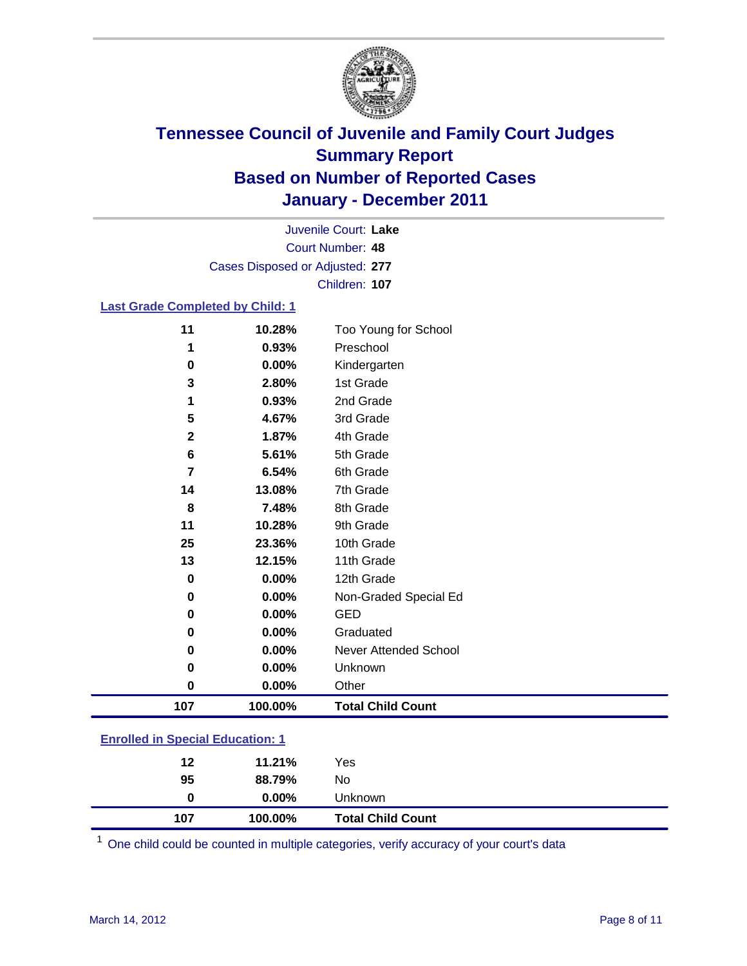

Court Number: **48** Juvenile Court: **Lake** Cases Disposed or Adjusted: **277** Children: **107**

#### **Last Grade Completed by Child: 1**

| 11                                      | 10.28%  | Too Young for School         |  |  |
|-----------------------------------------|---------|------------------------------|--|--|
| 1                                       | 0.93%   | Preschool                    |  |  |
| $\pmb{0}$                               | 0.00%   | Kindergarten                 |  |  |
| 3                                       | 2.80%   | 1st Grade                    |  |  |
| 1                                       | 0.93%   | 2nd Grade                    |  |  |
| 5                                       | 4.67%   | 3rd Grade                    |  |  |
| $\mathbf{2}$                            | 1.87%   | 4th Grade                    |  |  |
| 6                                       | 5.61%   | 5th Grade                    |  |  |
| $\overline{\mathbf{r}}$                 | 6.54%   | 6th Grade                    |  |  |
| 14                                      | 13.08%  | 7th Grade                    |  |  |
| 8                                       | 7.48%   | 8th Grade                    |  |  |
| 11                                      | 10.28%  | 9th Grade                    |  |  |
| 25                                      | 23.36%  | 10th Grade                   |  |  |
| 13                                      | 12.15%  | 11th Grade                   |  |  |
| 0                                       | 0.00%   | 12th Grade                   |  |  |
| 0                                       | 0.00%   | Non-Graded Special Ed        |  |  |
| 0                                       | 0.00%   | <b>GED</b>                   |  |  |
| 0                                       | 0.00%   | Graduated                    |  |  |
| 0                                       | 0.00%   | <b>Never Attended School</b> |  |  |
| $\pmb{0}$                               | 0.00%   | Unknown                      |  |  |
| $\pmb{0}$                               | 0.00%   | Other                        |  |  |
| 107                                     | 100.00% | <b>Total Child Count</b>     |  |  |
| <b>Enrolled in Special Education: 1</b> |         |                              |  |  |
|                                         |         |                              |  |  |

| 107 | 100.00%  | <b>Total Child Count</b> |
|-----|----------|--------------------------|
| 0   | $0.00\%$ | <b>Unknown</b>           |
| 95  | 88.79%   | No                       |
| 12  | 11.21%   | Yes                      |

One child could be counted in multiple categories, verify accuracy of your court's data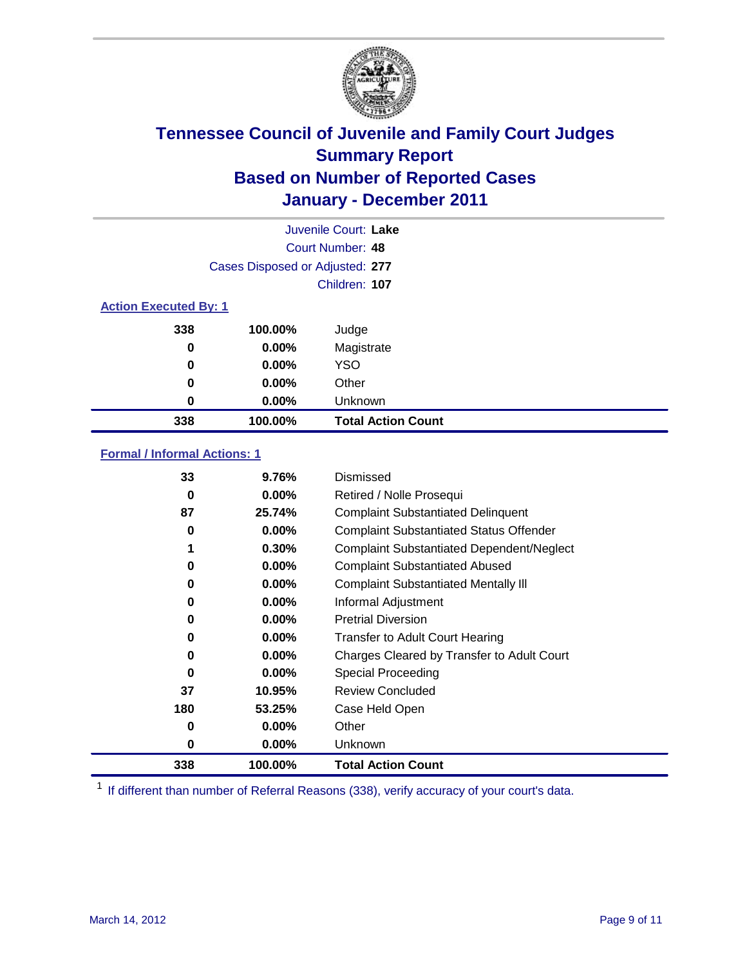

|                              | Juvenile Court: Lake            |                           |  |  |  |
|------------------------------|---------------------------------|---------------------------|--|--|--|
|                              | Court Number: 48                |                           |  |  |  |
|                              | Cases Disposed or Adjusted: 277 |                           |  |  |  |
|                              |                                 | Children: 107             |  |  |  |
| <b>Action Executed By: 1</b> |                                 |                           |  |  |  |
| 338                          | 100.00%                         | Judge                     |  |  |  |
| 0                            | $0.00\%$                        | Magistrate                |  |  |  |
| 0                            | $0.00\%$                        | <b>YSO</b>                |  |  |  |
| 0                            | 0.00%                           | Other                     |  |  |  |
| 0                            | 0.00%                           | Unknown                   |  |  |  |
| 338                          | 100.00%                         | <b>Total Action Count</b> |  |  |  |

### **Formal / Informal Actions: 1**

| 33  | 9.76%    | Dismissed                                        |
|-----|----------|--------------------------------------------------|
| 0   | $0.00\%$ | Retired / Nolle Prosequi                         |
| 87  | 25.74%   | <b>Complaint Substantiated Delinquent</b>        |
| 0   | $0.00\%$ | <b>Complaint Substantiated Status Offender</b>   |
|     | 0.30%    | <b>Complaint Substantiated Dependent/Neglect</b> |
| 0   | $0.00\%$ | <b>Complaint Substantiated Abused</b>            |
| 0   | $0.00\%$ | <b>Complaint Substantiated Mentally III</b>      |
| 0   | $0.00\%$ | Informal Adjustment                              |
| 0   | $0.00\%$ | <b>Pretrial Diversion</b>                        |
| 0   | $0.00\%$ | <b>Transfer to Adult Court Hearing</b>           |
| 0   | $0.00\%$ | Charges Cleared by Transfer to Adult Court       |
| 0   | $0.00\%$ | <b>Special Proceeding</b>                        |
| 37  | 10.95%   | <b>Review Concluded</b>                          |
| 180 | 53.25%   | Case Held Open                                   |
| 0   | $0.00\%$ | Other                                            |
| 0   | $0.00\%$ | Unknown                                          |
| 338 | 100.00%  | <b>Total Action Count</b>                        |

<sup>1</sup> If different than number of Referral Reasons (338), verify accuracy of your court's data.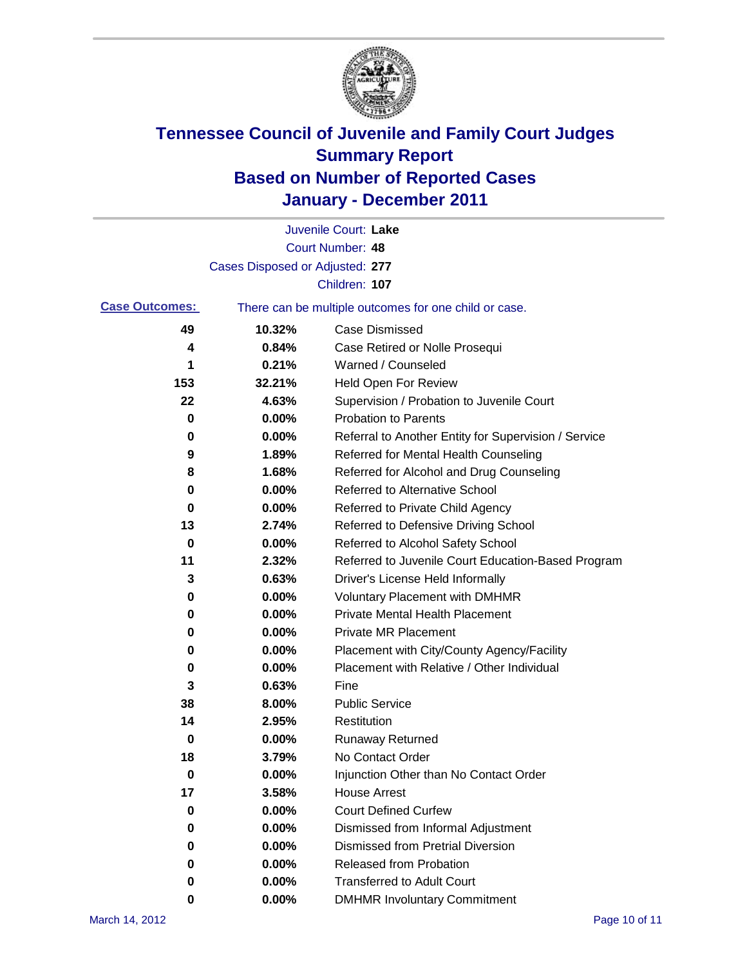

|                       |                                 | Juvenile Court: Lake                                  |
|-----------------------|---------------------------------|-------------------------------------------------------|
|                       |                                 | <b>Court Number: 48</b>                               |
|                       | Cases Disposed or Adjusted: 277 |                                                       |
|                       |                                 | Children: 107                                         |
| <b>Case Outcomes:</b> |                                 | There can be multiple outcomes for one child or case. |
| 49                    | 10.32%                          | <b>Case Dismissed</b>                                 |
| 4                     | 0.84%                           | Case Retired or Nolle Prosequi                        |
| 1                     | 0.21%                           | Warned / Counseled                                    |
| 153                   | 32.21%                          | <b>Held Open For Review</b>                           |
| 22                    | 4.63%                           | Supervision / Probation to Juvenile Court             |
| 0                     | 0.00%                           | <b>Probation to Parents</b>                           |
| 0                     | 0.00%                           | Referral to Another Entity for Supervision / Service  |
| 9                     | 1.89%                           | Referred for Mental Health Counseling                 |
| 8                     | 1.68%                           | Referred for Alcohol and Drug Counseling              |
| 0                     | 0.00%                           | Referred to Alternative School                        |
| 0                     | 0.00%                           | Referred to Private Child Agency                      |
| 13                    | 2.74%                           | Referred to Defensive Driving School                  |
| 0                     | 0.00%                           | Referred to Alcohol Safety School                     |
| 11                    | 2.32%                           | Referred to Juvenile Court Education-Based Program    |
| 3                     | 0.63%                           | Driver's License Held Informally                      |
| 0                     | 0.00%                           | <b>Voluntary Placement with DMHMR</b>                 |
| 0                     | 0.00%                           | <b>Private Mental Health Placement</b>                |
| 0                     | 0.00%                           | <b>Private MR Placement</b>                           |
| 0                     | 0.00%                           | Placement with City/County Agency/Facility            |
| 0                     | 0.00%                           | Placement with Relative / Other Individual            |
| 3                     | 0.63%                           | Fine                                                  |
| 38                    | 8.00%                           | <b>Public Service</b>                                 |
| 14                    | 2.95%                           | Restitution                                           |
| 0                     | 0.00%                           | <b>Runaway Returned</b>                               |
| 18                    | 3.79%                           | No Contact Order                                      |
| 0                     | 0.00%                           | Injunction Other than No Contact Order                |
| 17                    | 3.58%                           | <b>House Arrest</b>                                   |
| 0                     | 0.00%                           | <b>Court Defined Curfew</b>                           |
| 0                     | 0.00%                           | Dismissed from Informal Adjustment                    |
| 0                     | 0.00%                           | <b>Dismissed from Pretrial Diversion</b>              |
| 0                     | 0.00%                           | Released from Probation                               |
| 0                     | 0.00%                           | <b>Transferred to Adult Court</b>                     |
| 0                     | 0.00%                           | <b>DMHMR Involuntary Commitment</b>                   |